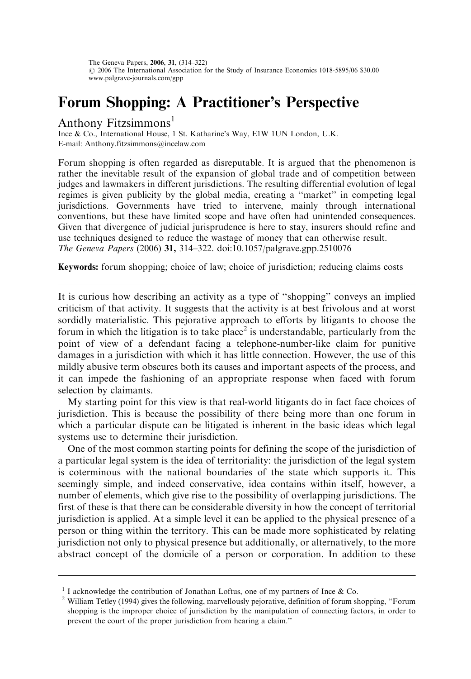The Geneva Papers, 2006, 31, (314–322) r 2006 The International Association for the Study of Insurance Economics 1018-5895/06 \$30.00 www.palgrave-journals.com/gpp

## Forum Shopping: A Practitioner's Perspective

Anthony Fitzsimmons<sup>1</sup>

Ince & Co., International House, 1 St. Katharine's Way, E1W 1UN London, U.K. E-mail: Anthony.fitzsimmons@incelaw.com

Forum shopping is often regarded as disreputable. It is argued that the phenomenon is rather the inevitable result of the expansion of global trade and of competition between judges and lawmakers in different jurisdictions. The resulting differential evolution of legal regimes is given publicity by the global media, creating a ''market'' in competing legal jurisdictions. Governments have tried to intervene, mainly through international conventions, but these have limited scope and have often had unintended consequences. Given that divergence of judicial jurisprudence is here to stay, insurers should refine and use techniques designed to reduce the wastage of money that can otherwise result. The Geneva Papers (2006) 31, 314–322. doi:10.1057/palgrave.gpp.2510076

Keywords: forum shopping; choice of law; choice of jurisdiction; reducing claims costs

It is curious how describing an activity as a type of ''shopping'' conveys an implied criticism of that activity. It suggests that the activity is at best frivolous and at worst sordidly materialistic. This pejorative approach to efforts by litigants to choose the forum in which the litigation is to take place<sup>2</sup> is understandable, particularly from the point of view of a defendant facing a telephone-number-like claim for punitive damages in a jurisdiction with which it has little connection. However, the use of this mildly abusive term obscures both its causes and important aspects of the process, and it can impede the fashioning of an appropriate response when faced with forum selection by claimants.

My starting point for this view is that real-world litigants do in fact face choices of jurisdiction. This is because the possibility of there being more than one forum in which a particular dispute can be litigated is inherent in the basic ideas which legal systems use to determine their jurisdiction.

One of the most common starting points for defining the scope of the jurisdiction of a particular legal system is the idea of territoriality: the jurisdiction of the legal system is coterminous with the national boundaries of the state which supports it. This seemingly simple, and indeed conservative, idea contains within itself, however, a number of elements, which give rise to the possibility of overlapping jurisdictions. The first of these is that there can be considerable diversity in how the concept of territorial jurisdiction is applied. At a simple level it can be applied to the physical presence of a person or thing within the territory. This can be made more sophisticated by relating jurisdiction not only to physical presence but additionally, or alternatively, to the more abstract concept of the domicile of a person or corporation. In addition to these

<sup>&</sup>lt;sup>1</sup> I acknowledge the contribution of Jonathan Loftus, one of my partners of Ince  $\&$  Co.

 $2$  William Tetley (1994) gives the following, marvellously pejorative, definition of forum shopping, "Forum shopping is the improper choice of jurisdiction by the manipulation of connecting factors, in order to prevent the court of the proper jurisdiction from hearing a claim.''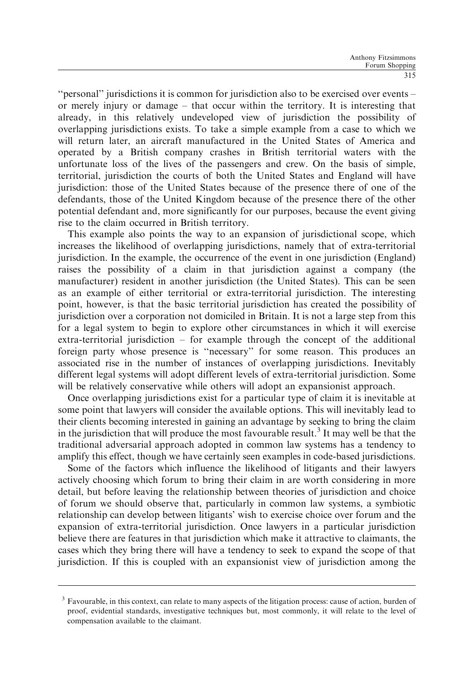''personal'' jurisdictions it is common for jurisdiction also to be exercised over events – or merely injury or damage – that occur within the territory. It is interesting that already, in this relatively undeveloped view of jurisdiction the possibility of overlapping jurisdictions exists. To take a simple example from a case to which we will return later, an aircraft manufactured in the United States of America and operated by a British company crashes in British territorial waters with the unfortunate loss of the lives of the passengers and crew. On the basis of simple, territorial, jurisdiction the courts of both the United States and England will have jurisdiction: those of the United States because of the presence there of one of the defendants, those of the United Kingdom because of the presence there of the other potential defendant and, more significantly for our purposes, because the event giving rise to the claim occurred in British territory.

This example also points the way to an expansion of jurisdictional scope, which increases the likelihood of overlapping jurisdictions, namely that of extra-territorial jurisdiction. In the example, the occurrence of the event in one jurisdiction (England) raises the possibility of a claim in that jurisdiction against a company (the manufacturer) resident in another jurisdiction (the United States). This can be seen as an example of either territorial or extra-territorial jurisdiction. The interesting point, however, is that the basic territorial jurisdiction has created the possibility of jurisdiction over a corporation not domiciled in Britain. It is not a large step from this for a legal system to begin to explore other circumstances in which it will exercise extra-territorial jurisdiction – for example through the concept of the additional foreign party whose presence is ''necessary'' for some reason. This produces an associated rise in the number of instances of overlapping jurisdictions. Inevitably different legal systems will adopt different levels of extra-territorial jurisdiction. Some will be relatively conservative while others will adopt an expansionist approach.

Once overlapping jurisdictions exist for a particular type of claim it is inevitable at some point that lawyers will consider the available options. This will inevitably lead to their clients becoming interested in gaining an advantage by seeking to bring the claim in the jurisdiction that will produce the most favourable result.<sup>3</sup> It may well be that the traditional adversarial approach adopted in common law systems has a tendency to amplify this effect, though we have certainly seen examples in code-based jurisdictions.

Some of the factors which influence the likelihood of litigants and their lawyers actively choosing which forum to bring their claim in are worth considering in more detail, but before leaving the relationship between theories of jurisdiction and choice of forum we should observe that, particularly in common law systems, a symbiotic relationship can develop between litigants' wish to exercise choice over forum and the expansion of extra-territorial jurisdiction. Once lawyers in a particular jurisdiction believe there are features in that jurisdiction which make it attractive to claimants, the cases which they bring there will have a tendency to seek to expand the scope of that jurisdiction. If this is coupled with an expansionist view of jurisdiction among the

<sup>3</sup> Favourable, in this context, can relate to many aspects of the litigation process: cause of action, burden of proof, evidential standards, investigative techniques but, most commonly, it will relate to the level of compensation available to the claimant.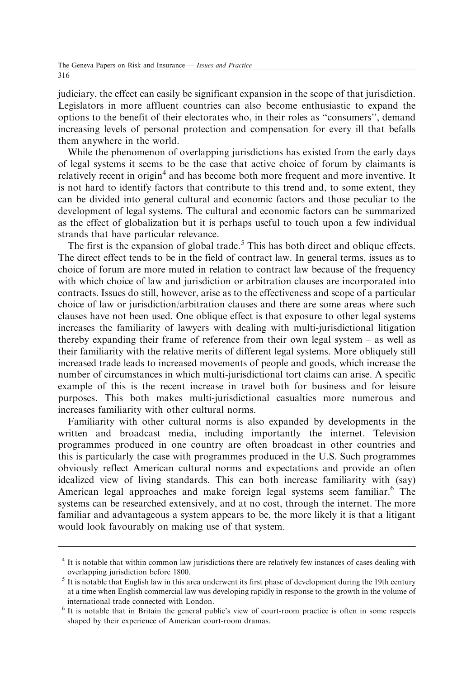judiciary, the effect can easily be significant expansion in the scope of that jurisdiction. Legislators in more affluent countries can also become enthusiastic to expand the options to the benefit of their electorates who, in their roles as ''consumers'', demand increasing levels of personal protection and compensation for every ill that befalls them anywhere in the world.

While the phenomenon of overlapping jurisdictions has existed from the early days of legal systems it seems to be the case that active choice of forum by claimants is relatively recent in origin<sup>4</sup> and has become both more frequent and more inventive. It is not hard to identify factors that contribute to this trend and, to some extent, they can be divided into general cultural and economic factors and those peculiar to the development of legal systems. The cultural and economic factors can be summarized as the effect of globalization but it is perhaps useful to touch upon a few individual strands that have particular relevance.

The first is the expansion of global trade.<sup>5</sup> This has both direct and oblique effects. The direct effect tends to be in the field of contract law. In general terms, issues as to choice of forum are more muted in relation to contract law because of the frequency with which choice of law and jurisdiction or arbitration clauses are incorporated into contracts. Issues do still, however, arise as to the effectiveness and scope of a particular choice of law or jurisdiction/arbitration clauses and there are some areas where such clauses have not been used. One oblique effect is that exposure to other legal systems increases the familiarity of lawyers with dealing with multi-jurisdictional litigation thereby expanding their frame of reference from their own legal system – as well as their familiarity with the relative merits of different legal systems. More obliquely still increased trade leads to increased movements of people and goods, which increase the number of circumstances in which multi-jurisdictional tort claims can arise. A specific example of this is the recent increase in travel both for business and for leisure purposes. This both makes multi-jurisdictional casualties more numerous and increases familiarity with other cultural norms.

Familiarity with other cultural norms is also expanded by developments in the written and broadcast media, including importantly the internet. Television programmes produced in one country are often broadcast in other countries and this is particularly the case with programmes produced in the U.S. Such programmes obviously reflect American cultural norms and expectations and provide an often idealized view of living standards. This can both increase familiarity with (say) American legal approaches and make foreign legal systems seem familiar.<sup>6</sup> The systems can be researched extensively, and at no cost, through the internet. The more familiar and advantageous a system appears to be, the more likely it is that a litigant would look favourably on making use of that system.

<sup>&</sup>lt;sup>4</sup> It is notable that within common law jurisdictions there are relatively few instances of cases dealing with overlapping jurisdiction before 1800.

<sup>&</sup>lt;sup>5</sup> It is notable that English law in this area underwent its first phase of development during the 19th century at a time when English commercial law was developing rapidly in response to the growth in the volume of international trade connected with London.

<sup>&</sup>lt;sup>6</sup> It is notable that in Britain the general public's view of court-room practice is often in some respects shaped by their experience of American court-room dramas.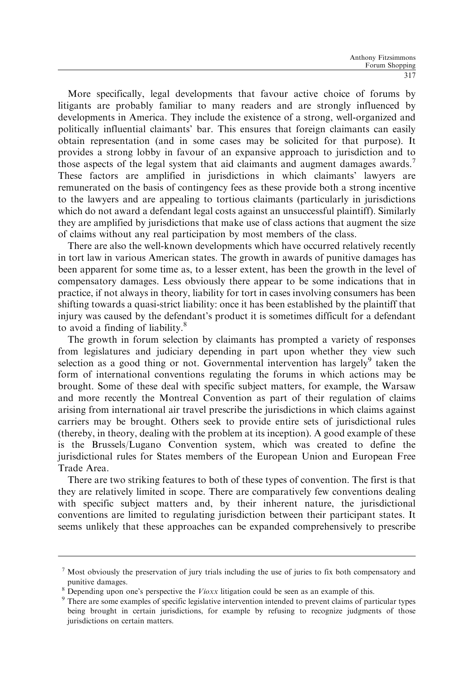More specifically, legal developments that favour active choice of forums by litigants are probably familiar to many readers and are strongly influenced by developments in America. They include the existence of a strong, well-organized and politically influential claimants' bar. This ensures that foreign claimants can easily obtain representation (and in some cases may be solicited for that purpose). It provides a strong lobby in favour of an expansive approach to jurisdiction and to those aspects of the legal system that aid claimants and augment damages awards.<sup>7</sup> These factors are amplified in jurisdictions in which claimants' lawyers are remunerated on the basis of contingency fees as these provide both a strong incentive to the lawyers and are appealing to tortious claimants (particularly in jurisdictions which do not award a defendant legal costs against an unsuccessful plaintiff). Similarly they are amplified by jurisdictions that make use of class actions that augment the size of claims without any real participation by most members of the class.

There are also the well-known developments which have occurred relatively recently in tort law in various American states. The growth in awards of punitive damages has been apparent for some time as, to a lesser extent, has been the growth in the level of compensatory damages. Less obviously there appear to be some indications that in practice, if not always in theory, liability for tort in cases involving consumers has been shifting towards a quasi-strict liability: once it has been established by the plaintiff that injury was caused by the defendant's product it is sometimes difficult for a defendant to avoid a finding of liability.<sup>8</sup>

The growth in forum selection by claimants has prompted a variety of responses from legislatures and judiciary depending in part upon whether they view such selection as a good thing or not. Governmental intervention has largely<sup>9</sup> taken the form of international conventions regulating the forums in which actions may be brought. Some of these deal with specific subject matters, for example, the Warsaw and more recently the Montreal Convention as part of their regulation of claims arising from international air travel prescribe the jurisdictions in which claims against carriers may be brought. Others seek to provide entire sets of jurisdictional rules (thereby, in theory, dealing with the problem at its inception). A good example of these is the Brussels/Lugano Convention system, which was created to define the jurisdictional rules for States members of the European Union and European Free Trade Area.

There are two striking features to both of these types of convention. The first is that they are relatively limited in scope. There are comparatively few conventions dealing with specific subject matters and, by their inherent nature, the jurisdictional conventions are limited to regulating jurisdiction between their participant states. It seems unlikely that these approaches can be expanded comprehensively to prescribe

 $7$  Most obviously the preservation of jury trials including the use of juries to fix both compensatory and punitive damages.<br><sup>8</sup> Depending upon one's perspective the *Vioxx* litigation could be seen as an example of this.

 $9$  There are some examples of specific legislative intervention intended to prevent claims of particular types being brought in certain jurisdictions, for example by refusing to recognize judgments of those jurisdictions on certain matters.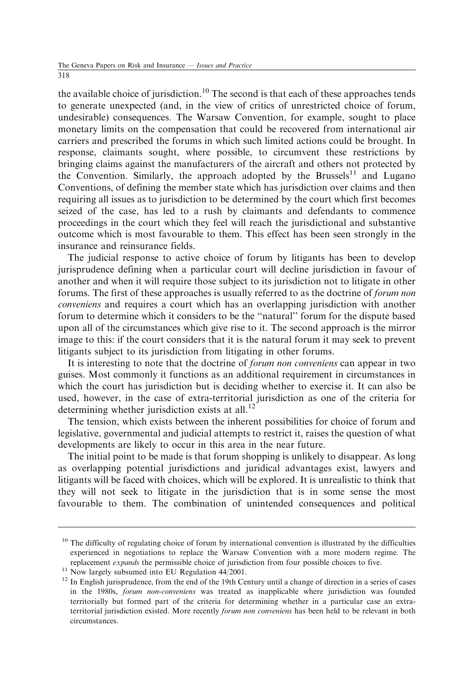the available choice of jurisdiction.<sup>10</sup> The second is that each of these approaches tends to generate unexpected (and, in the view of critics of unrestricted choice of forum, undesirable) consequences. The Warsaw Convention, for example, sought to place monetary limits on the compensation that could be recovered from international air carriers and prescribed the forums in which such limited actions could be brought. In response, claimants sought, where possible, to circumvent these restrictions by bringing claims against the manufacturers of the aircraft and others not protected by the Convention. Similarly, the approach adopted by the Brussels<sup>11</sup> and Lugano Conventions, of defining the member state which has jurisdiction over claims and then requiring all issues as to jurisdiction to be determined by the court which first becomes seized of the case, has led to a rush by claimants and defendants to commence proceedings in the court which they feel will reach the jurisdictional and substantive outcome which is most favourable to them. This effect has been seen strongly in the insurance and reinsurance fields.

The judicial response to active choice of forum by litigants has been to develop jurisprudence defining when a particular court will decline jurisdiction in favour of another and when it will require those subject to its jurisdiction not to litigate in other forums. The first of these approaches is usually referred to as the doctrine of forum non conveniens and requires a court which has an overlapping jurisdiction with another forum to determine which it considers to be the ''natural'' forum for the dispute based upon all of the circumstances which give rise to it. The second approach is the mirror image to this: if the court considers that it is the natural forum it may seek to prevent litigants subject to its jurisdiction from litigating in other forums.

It is interesting to note that the doctrine of *forum non conveniens* can appear in two guises. Most commonly it functions as an additional requirement in circumstances in which the court has jurisdiction but is deciding whether to exercise it. It can also be used, however, in the case of extra-territorial jurisdiction as one of the criteria for determining whether jurisdiction exists at all.<sup>12</sup>

The tension, which exists between the inherent possibilities for choice of forum and legislative, governmental and judicial attempts to restrict it, raises the question of what developments are likely to occur in this area in the near future.

The initial point to be made is that forum shopping is unlikely to disappear. As long as overlapping potential jurisdictions and juridical advantages exist, lawyers and litigants will be faced with choices, which will be explored. It is unrealistic to think that they will not seek to litigate in the jurisdiction that is in some sense the most favourable to them. The combination of unintended consequences and political

 $10$  The difficulty of regulating choice of forum by international convention is illustrated by the difficulties experienced in negotiations to replace the Warsaw Convention with a more modern regime. The replacement expands the permissible choice of jurisdiction from four possible choices to five. <sup>11</sup> Now largely subsumed into EU Regulation 44/2001.

 $12$  In English jurisprudence, from the end of the 19th Century until a change of direction in a series of cases in the 1980s, forum non-conveniens was treated as inapplicable where jurisdiction was founded territorially but formed part of the criteria for determining whether in a particular case an extraterritorial jurisdiction existed. More recently forum non conveniens has been held to be relevant in both circumstances.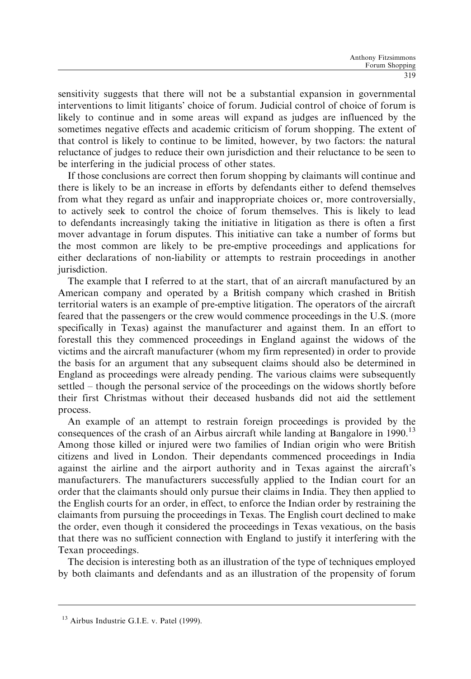sensitivity suggests that there will not be a substantial expansion in governmental interventions to limit litigants' choice of forum. Judicial control of choice of forum is likely to continue and in some areas will expand as judges are influenced by the sometimes negative effects and academic criticism of forum shopping. The extent of that control is likely to continue to be limited, however, by two factors: the natural reluctance of judges to reduce their own jurisdiction and their reluctance to be seen to be interfering in the judicial process of other states.

If those conclusions are correct then forum shopping by claimants will continue and there is likely to be an increase in efforts by defendants either to defend themselves from what they regard as unfair and inappropriate choices or, more controversially, to actively seek to control the choice of forum themselves. This is likely to lead to defendants increasingly taking the initiative in litigation as there is often a first mover advantage in forum disputes. This initiative can take a number of forms but the most common are likely to be pre-emptive proceedings and applications for either declarations of non-liability or attempts to restrain proceedings in another jurisdiction.

The example that I referred to at the start, that of an aircraft manufactured by an American company and operated by a British company which crashed in British territorial waters is an example of pre-emptive litigation. The operators of the aircraft feared that the passengers or the crew would commence proceedings in the U.S. (more specifically in Texas) against the manufacturer and against them. In an effort to forestall this they commenced proceedings in England against the widows of the victims and the aircraft manufacturer (whom my firm represented) in order to provide the basis for an argument that any subsequent claims should also be determined in England as proceedings were already pending. The various claims were subsequently settled – though the personal service of the proceedings on the widows shortly before their first Christmas without their deceased husbands did not aid the settlement process.

An example of an attempt to restrain foreign proceedings is provided by the consequences of the crash of an Airbus aircraft while landing at Bangalore in 1990.<sup>13</sup> Among those killed or injured were two families of Indian origin who were British citizens and lived in London. Their dependants commenced proceedings in India against the airline and the airport authority and in Texas against the aircraft's manufacturers. The manufacturers successfully applied to the Indian court for an order that the claimants should only pursue their claims in India. They then applied to the English courts for an order, in effect, to enforce the Indian order by restraining the claimants from pursuing the proceedings in Texas. The English court declined to make the order, even though it considered the proceedings in Texas vexatious, on the basis that there was no sufficient connection with England to justify it interfering with the Texan proceedings.

The decision is interesting both as an illustration of the type of techniques employed by both claimants and defendants and as an illustration of the propensity of forum

<sup>&</sup>lt;sup>13</sup> Airbus Industrie G.I.E. v. Patel (1999).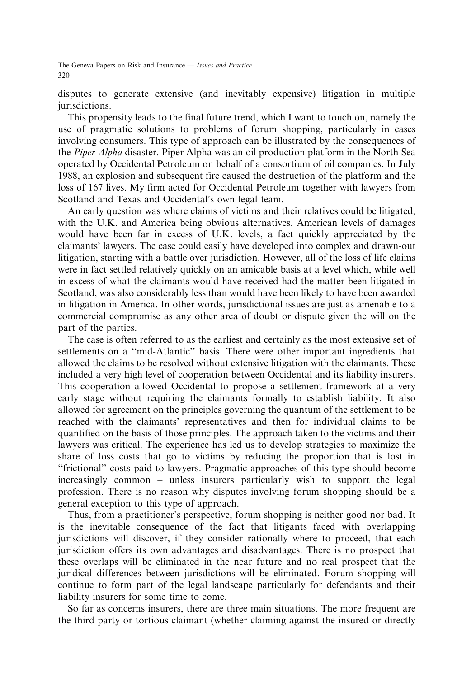disputes to generate extensive (and inevitably expensive) litigation in multiple jurisdictions.

This propensity leads to the final future trend, which I want to touch on, namely the use of pragmatic solutions to problems of forum shopping, particularly in cases involving consumers. This type of approach can be illustrated by the consequences of the *Piper Alpha* disaster. Piper Alpha was an oil production platform in the North Sea operated by Occidental Petroleum on behalf of a consortium of oil companies. In July 1988, an explosion and subsequent fire caused the destruction of the platform and the loss of 167 lives. My firm acted for Occidental Petroleum together with lawyers from Scotland and Texas and Occidental's own legal team.

An early question was where claims of victims and their relatives could be litigated, with the U.K. and America being obvious alternatives. American levels of damages would have been far in excess of U.K. levels, a fact quickly appreciated by the claimants' lawyers. The case could easily have developed into complex and drawn-out litigation, starting with a battle over jurisdiction. However, all of the loss of life claims were in fact settled relatively quickly on an amicable basis at a level which, while well in excess of what the claimants would have received had the matter been litigated in Scotland, was also considerably less than would have been likely to have been awarded in litigation in America. In other words, jurisdictional issues are just as amenable to a commercial compromise as any other area of doubt or dispute given the will on the part of the parties.

The case is often referred to as the earliest and certainly as the most extensive set of settlements on a ''mid-Atlantic'' basis. There were other important ingredients that allowed the claims to be resolved without extensive litigation with the claimants. These included a very high level of cooperation between Occidental and its liability insurers. This cooperation allowed Occidental to propose a settlement framework at a very early stage without requiring the claimants formally to establish liability. It also allowed for agreement on the principles governing the quantum of the settlement to be reached with the claimants' representatives and then for individual claims to be quantified on the basis of those principles. The approach taken to the victims and their lawyers was critical. The experience has led us to develop strategies to maximize the share of loss costs that go to victims by reducing the proportion that is lost in ''frictional'' costs paid to lawyers. Pragmatic approaches of this type should become increasingly common – unless insurers particularly wish to support the legal profession. There is no reason why disputes involving forum shopping should be a general exception to this type of approach.

Thus, from a practitioner's perspective, forum shopping is neither good nor bad. It is the inevitable consequence of the fact that litigants faced with overlapping jurisdictions will discover, if they consider rationally where to proceed, that each jurisdiction offers its own advantages and disadvantages. There is no prospect that these overlaps will be eliminated in the near future and no real prospect that the juridical differences between jurisdictions will be eliminated. Forum shopping will continue to form part of the legal landscape particularly for defendants and their liability insurers for some time to come.

So far as concerns insurers, there are three main situations. The more frequent are the third party or tortious claimant (whether claiming against the insured or directly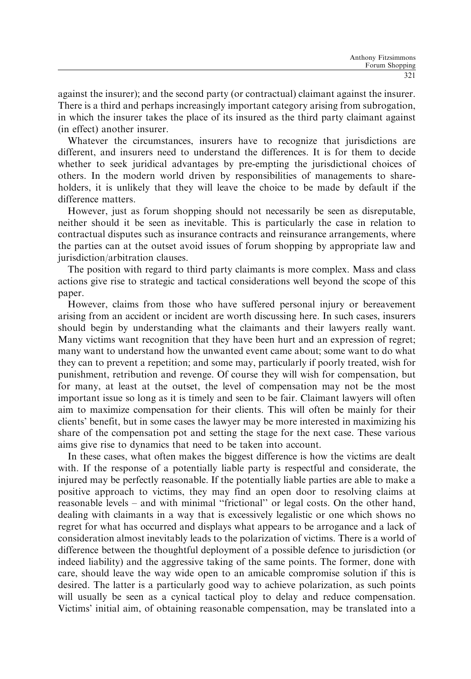against the insurer); and the second party (or contractual) claimant against the insurer. There is a third and perhaps increasingly important category arising from subrogation, in which the insurer takes the place of its insured as the third party claimant against (in effect) another insurer.

Whatever the circumstances, insurers have to recognize that jurisdictions are different, and insurers need to understand the differences. It is for them to decide whether to seek juridical advantages by pre-empting the jurisdictional choices of others. In the modern world driven by responsibilities of managements to shareholders, it is unlikely that they will leave the choice to be made by default if the difference matters.

However, just as forum shopping should not necessarily be seen as disreputable, neither should it be seen as inevitable. This is particularly the case in relation to contractual disputes such as insurance contracts and reinsurance arrangements, where the parties can at the outset avoid issues of forum shopping by appropriate law and jurisdiction/arbitration clauses.

The position with regard to third party claimants is more complex. Mass and class actions give rise to strategic and tactical considerations well beyond the scope of this paper.

However, claims from those who have suffered personal injury or bereavement arising from an accident or incident are worth discussing here. In such cases, insurers should begin by understanding what the claimants and their lawyers really want. Many victims want recognition that they have been hurt and an expression of regret; many want to understand how the unwanted event came about; some want to do what they can to prevent a repetition; and some may, particularly if poorly treated, wish for punishment, retribution and revenge. Of course they will wish for compensation, but for many, at least at the outset, the level of compensation may not be the most important issue so long as it is timely and seen to be fair. Claimant lawyers will often aim to maximize compensation for their clients. This will often be mainly for their clients' benefit, but in some cases the lawyer may be more interested in maximizing his share of the compensation pot and setting the stage for the next case. These various aims give rise to dynamics that need to be taken into account.

In these cases, what often makes the biggest difference is how the victims are dealt with. If the response of a potentially liable party is respectful and considerate, the injured may be perfectly reasonable. If the potentially liable parties are able to make a positive approach to victims, they may find an open door to resolving claims at reasonable levels – and with minimal ''frictional'' or legal costs. On the other hand, dealing with claimants in a way that is excessively legalistic or one which shows no regret for what has occurred and displays what appears to be arrogance and a lack of consideration almost inevitably leads to the polarization of victims. There is a world of difference between the thoughtful deployment of a possible defence to jurisdiction (or indeed liability) and the aggressive taking of the same points. The former, done with care, should leave the way wide open to an amicable compromise solution if this is desired. The latter is a particularly good way to achieve polarization, as such points will usually be seen as a cynical tactical ploy to delay and reduce compensation. Victims' initial aim, of obtaining reasonable compensation, may be translated into a